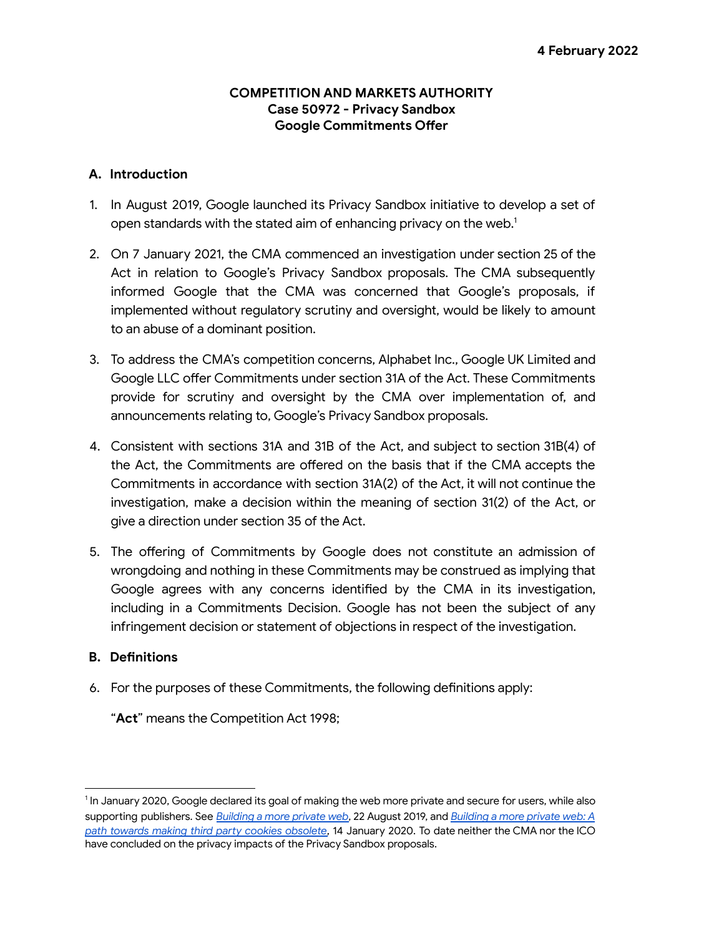### **COMPETITION AND MARKETS AUTHORITY Case 50972 ‐ Privacy Sandbox Google Commitments Offer**

## **A. Introduction**

- 1. In August 2019, Google launched its Privacy Sandbox initiative to develop a set of open standards with the stated aim of enhancing privacy on the web.<sup>1</sup>
- 2. On 7 January 2021, the CMA commenced an investigation under section 25 of the Act in relation to Google's Privacy Sandbox proposals. The CMA subsequently informed Google that the CMA was concerned that Google's proposals, if implemented without regulatory scrutiny and oversight, would be likely to amount to an abuse of a dominant position.
- 3. To address the CMA's competition concerns, Alphabet Inc., Google UK Limited and Google LLC offer Commitments under section 31A of the Act. These Commitments provide for scrutiny and oversight by the CMA over implementation of, and announcements relating to, Google's Privacy Sandbox proposals.
- 4. Consistent with sections 31A and 31B of the Act, and subject to section 31B(4) of the Act, the Commitments are offered on the basis that if the CMA accepts the Commitments in accordance with section 31A(2) of the Act, it will not continue the investigation, make a decision within the meaning of section 31(2) of the Act, or give a direction under section 35 of the Act.
- 5. The offering of Commitments by Google does not constitute an admission of wrongdoing and nothing in these Commitments may be construed as implying that Google agrees with any concerns identified by the CMA in its investigation, including in a Commitments Decision. Google has not been the subject of any infringement decision or statement of objections in respect of the investigation.

# **B. Definitions**

6. For the purposes of these Commitments, the following definitions apply:

"**Act**" means the Competition Act 1998;

 $^1$ In January 2020, Google declared its goal of making the web more private and secure for users, while also supporting publishers. See *[Building a more private web](https://www.blog.google/products/chrome/building-a-more-private-web)*, 22 August 2019, and *[Building a more private web: A](https://blog.chromium.org/2020/01/building-more-private-web-path-towards.html) [path towards making third party cookies obsolete](https://blog.chromium.org/2020/01/building-more-private-web-path-towards.html)*, 14 January 2020. To date neither the CMA nor the ICO have concluded on the privacy impacts of the Privacy Sandbox proposals.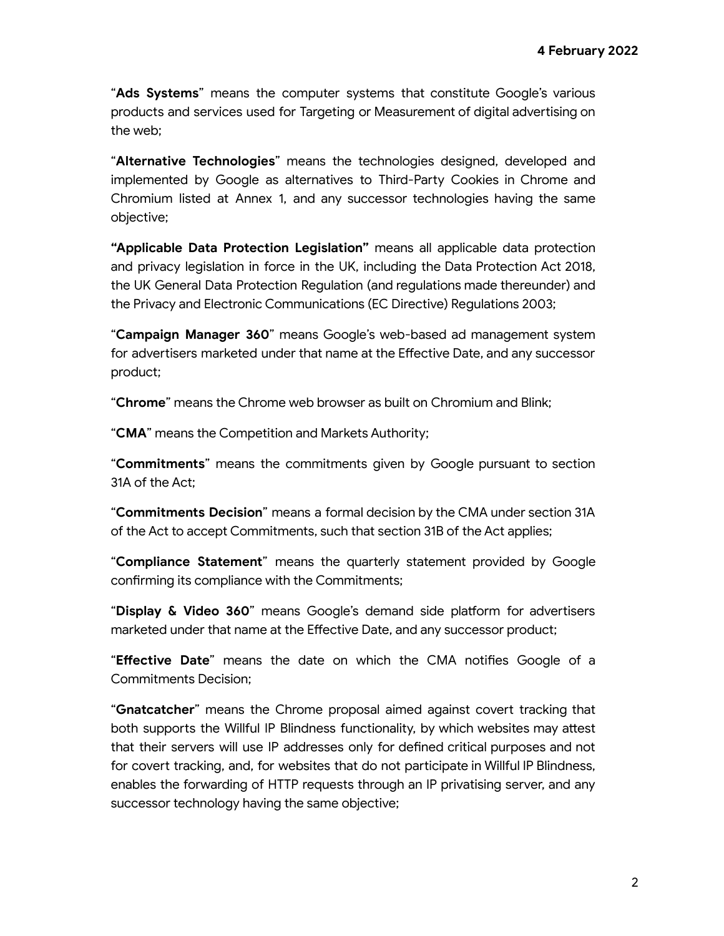"**Ads Systems**" means the computer systems that constitute Google's various products and services used for Targeting or Measurement of digital advertising on the web;

"**Alternative Technologies**" means the technologies designed, developed and implemented by Google as alternatives to Third-Party Cookies in Chrome and Chromium listed at Annex 1, and any successor technologies having the same objective;

**"Applicable Data Protection Legislation"** means all applicable data protection and privacy legislation in force in the UK, including the Data Protection Act 2018, the UK General Data Protection Regulation (and regulations made thereunder) and the Privacy and Electronic Communications (EC Directive) Regulations 2003;

"**Campaign Manager 360**" means Google's web-based ad management system for advertisers marketed under that name at the Effective Date, and any successor product;

"**Chrome**" means the Chrome web browser as built on Chromium and Blink;

"**CMA**" means the Competition and Markets Authority;

"**Commitments**" means the commitments given by Google pursuant to section 31A of the Act;

"**Commitments Decision**" means a formal decision by the CMA under section 31A of the Act to accept Commitments, such that section 31B of the Act applies;

"**Compliance Statement**" means the quarterly statement provided by Google confirming its compliance with the Commitments;

"**Display & Video 360**" means Google's demand side platform for advertisers marketed under that name at the Effective Date, and any successor product;

"**Effective Date**" means the date on which the CMA notifies Google of a Commitments Decision;

"**Gnatcatcher**" means the Chrome proposal aimed against covert tracking that both supports the Willful IP Blindness functionality, by which websites may attest that their servers will use IP addresses only for defined critical purposes and not for covert tracking, and, for websites that do not participate in Willful IP Blindness, enables the forwarding of HTTP requests through an IP privatising server, and any successor technology having the same objective;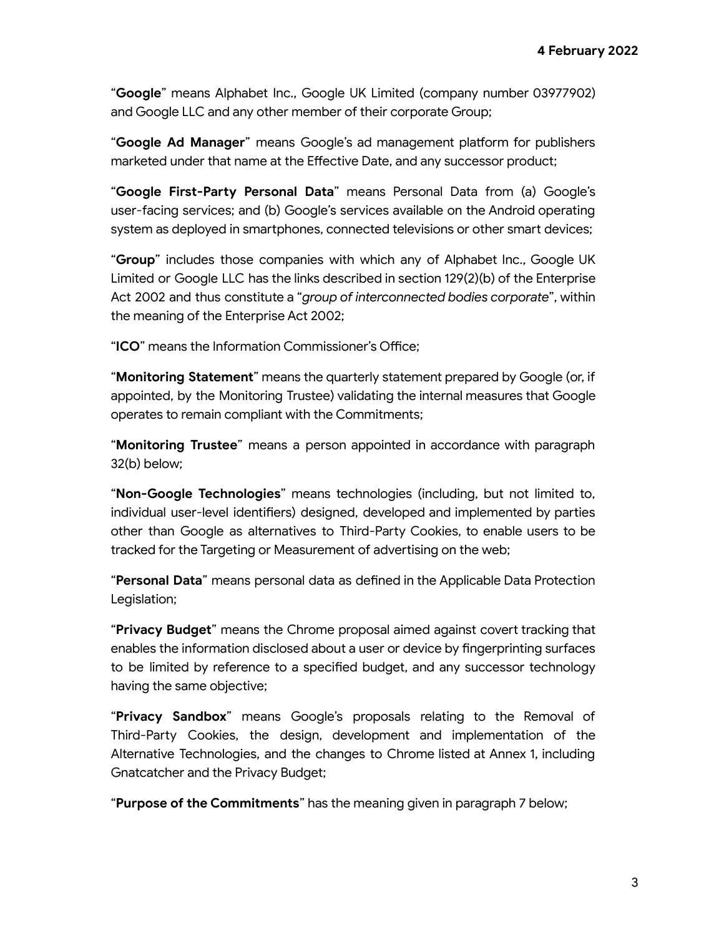"**Google**" means Alphabet Inc., Google UK Limited (company number 03977902) and Google LLC and any other member of their corporate Group;

"**Google Ad Manager**" means Google's ad management platform for publishers marketed under that name at the Effective Date, and any successor product;

"**Google First-Party Personal Data**" means Personal Data from (a) Google's user-facing services; and (b) Google's services available on the Android operating system as deployed in smartphones, connected televisions or other smart devices;

"**Group**" includes those companies with which any of Alphabet Inc., Google UK Limited or Google LLC has the links described in section 129(2)(b) of the Enterprise Act 2002 and thus constitute a "*group of interconnected bodies corporate*", within the meaning of the Enterprise Act 2002;

"**ICO**" means the Information Commissioner's Office;

"**Monitoring Statement**" means the quarterly statement prepared by Google (or, if appointed, by the Monitoring Trustee) validating the internal measures that Google operates to remain compliant with the Commitments;

"**Monitoring Trustee**" means a person appointed in accordance with paragraph 32(b) below;

"**Non-Google Technologies**" means technologies (including, but not limited to, individual user-level identifiers) designed, developed and implemented by parties other than Google as alternatives to Third-Party Cookies, to enable users to be tracked for the Targeting or Measurement of advertising on the web;

"**Personal Data**" means personal data as defined in the Applicable Data Protection Legislation:

"**Privacy Budget**" means the Chrome proposal aimed against covert tracking that enables the information disclosed about a user or device by fingerprinting surfaces to be limited by reference to a specified budget, and any successor technology having the same objective;

"**Privacy Sandbox**" means Google's proposals relating to the Removal of Third-Party Cookies, the design, development and implementation of the Alternative Technologies, and the changes to Chrome listed at Annex 1, including Gnatcatcher and the Privacy Budget;

"**Purpose of the Commitments**" has the meaning given in paragraph 7 below;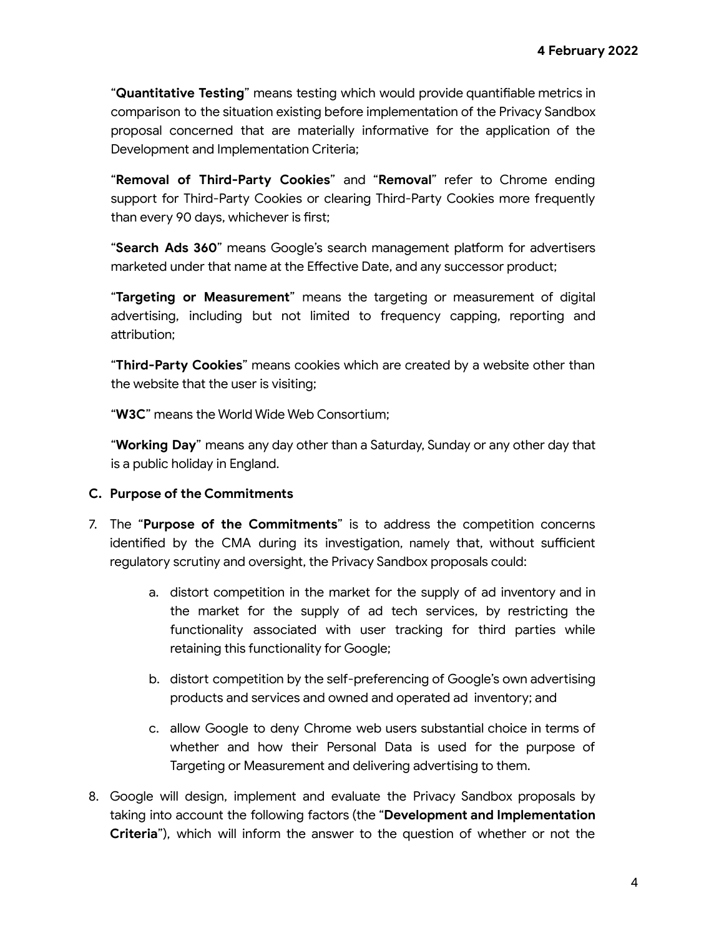"**Quantitative Testing**" means testing which would provide quantifiable metrics in comparison to the situation existing before implementation of the Privacy Sandbox proposal concerned that are materially informative for the application of the Development and Implementation Criteria;

"**Removal of Third-Party Cookies**" and "**Removal**" refer to Chrome ending support for Third-Party Cookies or clearing Third-Party Cookies more frequently than every 90 days, whichever is first;

"**Search Ads 360**" means Google's search management platform for advertisers marketed under that name at the Effective Date, and any successor product;

"**Targeting or Measurement**" means the targeting or measurement of digital advertising, including but not limited to frequency capping, reporting and attribution;

"**Third-Party Cookies**" means cookies which are created by a website other than the website that the user is visiting;

"**W3C**" means the World Wide Web Consortium;

"**Working Day**" means any day other than a Saturday, Sunday or any other day that is a public holiday in England.

### **C. Purpose of the Commitments**

- 7. The "**Purpose of the Commitments**" is to address the competition concerns identified by the CMA during its investigation, namely that, without sufficient regulatory scrutiny and oversight, the Privacy Sandbox proposals could:
	- a. distort competition in the market for the supply of ad inventory and in the market for the supply of ad tech services, by restricting the functionality associated with user tracking for third parties while retaining this functionality for Google;
	- b. distort competition by the self-preferencing of Google's own advertising products and services and owned and operated ad inventory; and
	- c. allow Google to deny Chrome web users substantial choice in terms of whether and how their Personal Data is used for the purpose of Targeting or Measurement and delivering advertising to them.
- 8. Google will design, implement and evaluate the Privacy Sandbox proposals by taking into account the following factors (the "**Development and Implementation Criteria**"), which will inform the answer to the question of whether or not the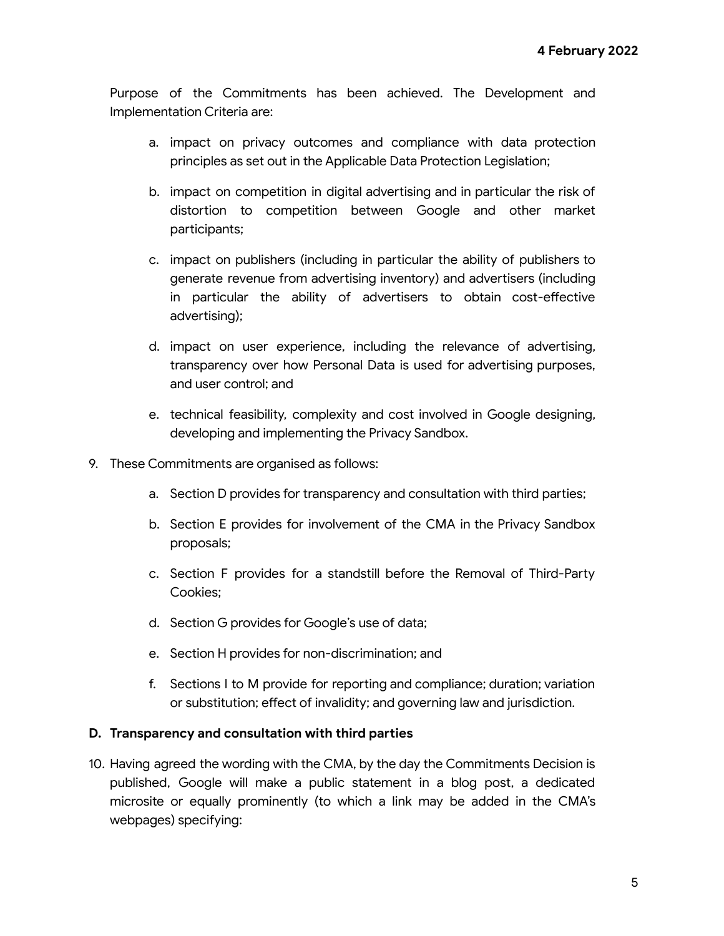Purpose of the Commitments has been achieved. The Development and Implementation Criteria are:

- a. impact on privacy outcomes and compliance with data protection principles as set out in the Applicable Data Protection Legislation;
- b. impact on competition in digital advertising and in particular the risk of distortion to competition between Google and other market participants;
- c. impact on publishers (including in particular the ability of publishers to generate revenue from advertising inventory) and advertisers (including in particular the ability of advertisers to obtain cost-effective advertising);
- d. impact on user experience, including the relevance of advertising, transparency over how Personal Data is used for advertising purposes, and user control; and
- e. technical feasibility, complexity and cost involved in Google designing, developing and implementing the Privacy Sandbox.
- 9. These Commitments are organised as follows:
	- a. Section D provides for transparency and consultation with third parties;
	- b. Section E provides for involvement of the CMA in the Privacy Sandbox proposals;
	- c. Section F provides for a standstill before the Removal of Third-Party Cookies;
	- d. Section G provides for Google's use of data;
	- e. Section H provides for non-discrimination; and
	- f. Sections I to M provide for reporting and compliance; duration; variation or substitution; effect of invalidity; and governing law and jurisdiction.

#### **D. Transparency and consultation with third parties**

10. Having agreed the wording with the CMA, by the day the Commitments Decision is published, Google will make a public statement in a blog post, a dedicated microsite or equally prominently (to which a link may be added in the CMA's webpages) specifying: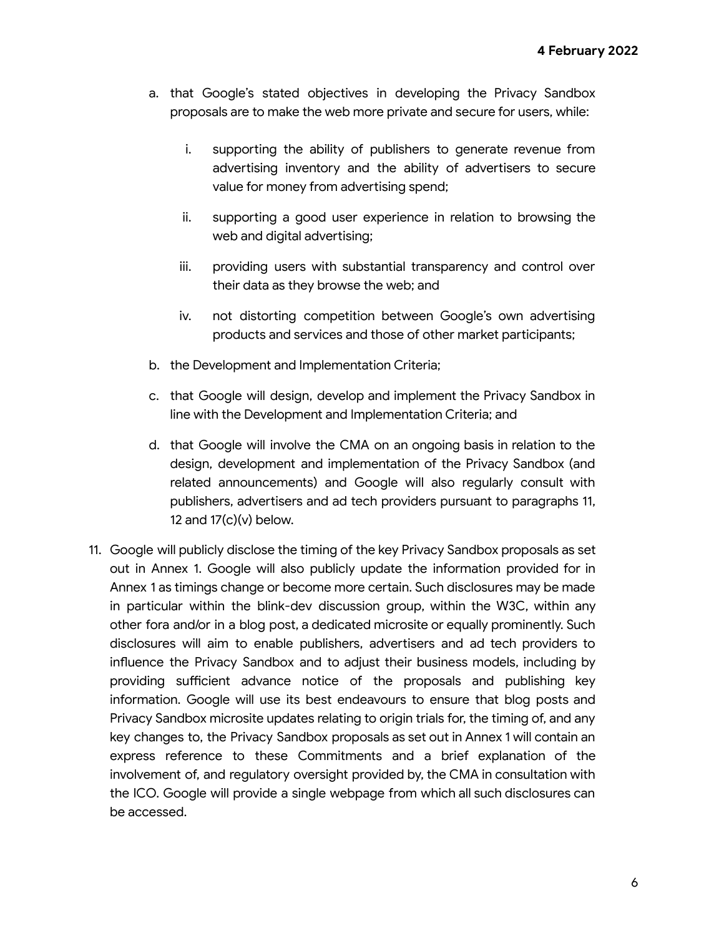- a. that Google's stated objectives in developing the Privacy Sandbox proposals are to make the web more private and secure for users, while:
	- i. supporting the ability of publishers to generate revenue from advertising inventory and the ability of advertisers to secure value for money from advertising spend;
	- ii. supporting a good user experience in relation to browsing the web and digital advertising;
	- iii. providing users with substantial transparency and control over their data as they browse the web; and
	- iv. not distorting competition between Google's own advertising products and services and those of other market participants;
- b. the Development and Implementation Criteria;
- c. that Google will design, develop and implement the Privacy Sandbox in line with the Development and Implementation Criteria; and
- d. that Google will involve the CMA on an ongoing basis in relation to the design, development and implementation of the Privacy Sandbox (and related announcements) and Google will also regularly consult with publishers, advertisers and ad tech providers pursuant to paragraphs 11, 12 and  $17(c)(v)$  below.
- 11. Google will publicly disclose the timing of the key Privacy Sandbox proposals as set out in Annex 1. Google will also publicly update the information provided for in Annex 1 as timings change or become more certain. Such disclosures may be made in particular within the blink-dev discussion group, within the W3C, within any other fora and/or in a blog post, a dedicated microsite or equally prominently. Such disclosures will aim to enable publishers, advertisers and ad tech providers to influence the Privacy Sandbox and to adjust their business models, including by providing sufficient advance notice of the proposals and publishing key information. Google will use its best endeavours to ensure that blog posts and Privacy Sandbox microsite updates relating to origin trials for, the timing of, and any key changes to, the Privacy Sandbox proposals as set out in Annex 1 will contain an express reference to these Commitments and a brief explanation of the involvement of, and regulatory oversight provided by, the CMA in consultation with the ICO. Google will provide a single webpage from which all such disclosures can be accessed.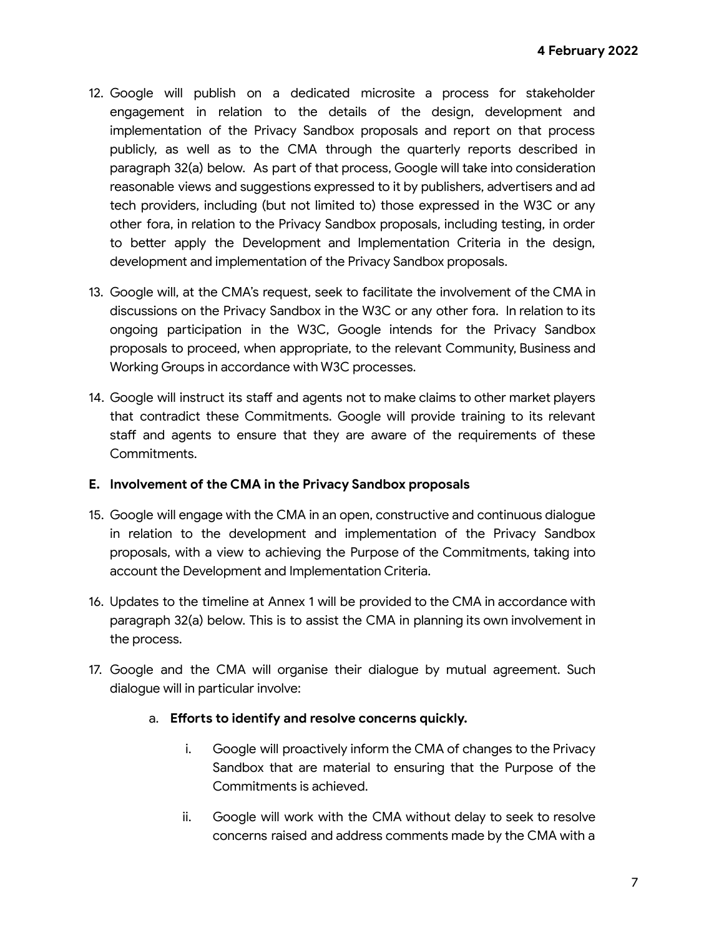- 12. Google will publish on a dedicated microsite a process for stakeholder engagement in relation to the details of the design, development and implementation of the Privacy Sandbox proposals and report on that process publicly, as well as to the CMA through the quarterly reports described in paragraph 32(a) below. As part of that process, Google will take into consideration reasonable views and suggestions expressed to it by publishers, advertisers and ad tech providers, including (but not limited to) those expressed in the W3C or any other fora, in relation to the Privacy Sandbox proposals, including testing, in order to better apply the Development and Implementation Criteria in the design, development and implementation of the Privacy Sandbox proposals.
- 13. Google will, at the CMA's request, seek to facilitate the involvement of the CMA in discussions on the Privacy Sandbox in the W3C or any other fora. In relation to its ongoing participation in the W3C, Google intends for the Privacy Sandbox proposals to proceed, when appropriate, to the relevant Community, Business and Working Groups in accordance with W3C processes.
- 14. Google will instruct its staff and agents not to make claims to other market players that contradict these Commitments. Google will provide training to its relevant staff and agents to ensure that they are aware of the requirements of these Commitments.

### **E. Involvement of the CMA in the Privacy Sandbox proposals**

- 15. Google will engage with the CMA in an open, constructive and continuous dialogue in relation to the development and implementation of the Privacy Sandbox proposals, with a view to achieving the Purpose of the Commitments, taking into account the Development and Implementation Criteria.
- 16. Updates to the timeline at Annex 1 will be provided to the CMA in accordance with paragraph 32(a) below. This is to assist the CMA in planning its own involvement in the process.
- 17. Google and the CMA will organise their dialogue by mutual agreement. Such dialogue will in particular involve:

# a. **Efforts to identify and resolve concerns quickly.**

- i. Google will proactively inform the CMA of changes to the Privacy Sandbox that are material to ensuring that the Purpose of the Commitments is achieved.
- ii. Google will work with the CMA without delay to seek to resolve concerns raised and address comments made by the CMA with a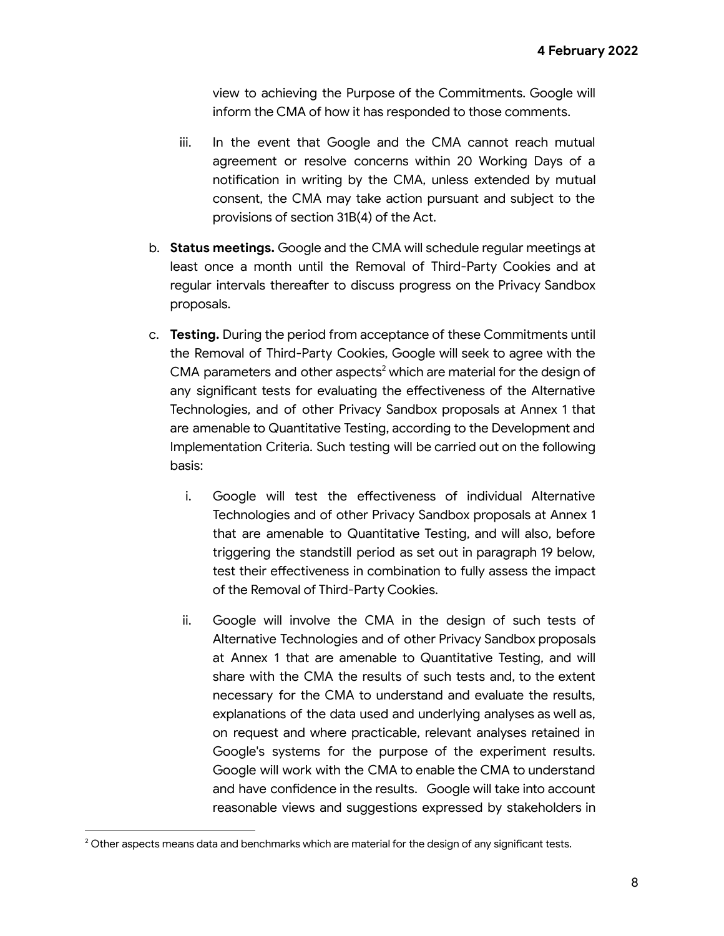view to achieving the Purpose of the Commitments. Google will inform the CMA of how it has responded to those comments.

- iii. In the event that Google and the CMA cannot reach mutual agreement or resolve concerns within 20 Working Days of a notification in writing by the CMA, unless extended by mutual consent, the CMA may take action pursuant and subject to the provisions of section 31B(4) of the Act.
- b. **Status meetings.** Google and the CMA will schedule regular meetings at least once a month until the Removal of Third-Party Cookies and at regular intervals thereafter to discuss progress on the Privacy Sandbox proposals.
- c. **Testing.** During the period from acceptance of these Commitments until the Removal of Third-Party Cookies, Google will seek to agree with the CMA parameters and other aspects<sup>2</sup> which are material for the design of any significant tests for evaluating the effectiveness of the Alternative Technologies, and of other Privacy Sandbox proposals at Annex 1 that are amenable to Quantitative Testing, according to the Development and Implementation Criteria. Such testing will be carried out on the following basis:
	- i. Google will test the effectiveness of individual Alternative Technologies and of other Privacy Sandbox proposals at Annex 1 that are amenable to Quantitative Testing, and will also, before triggering the standstill period as set out in paragraph 19 below, test their effectiveness in combination to fully assess the impact of the Removal of Third-Party Cookies.
	- ii. Google will involve the CMA in the design of such tests of Alternative Technologies and of other Privacy Sandbox proposals at Annex 1 that are amenable to Quantitative Testing, and will share with the CMA the results of such tests and, to the extent necessary for the CMA to understand and evaluate the results, explanations of the data used and underlying analyses as well as, on request and where practicable, relevant analyses retained in Google's systems for the purpose of the experiment results. Google will work with the CMA to enable the CMA to understand and have confidence in the results. Google will take into account reasonable views and suggestions expressed by stakeholders in

 $2$  Other aspects means data and benchmarks which are material for the design of any significant tests.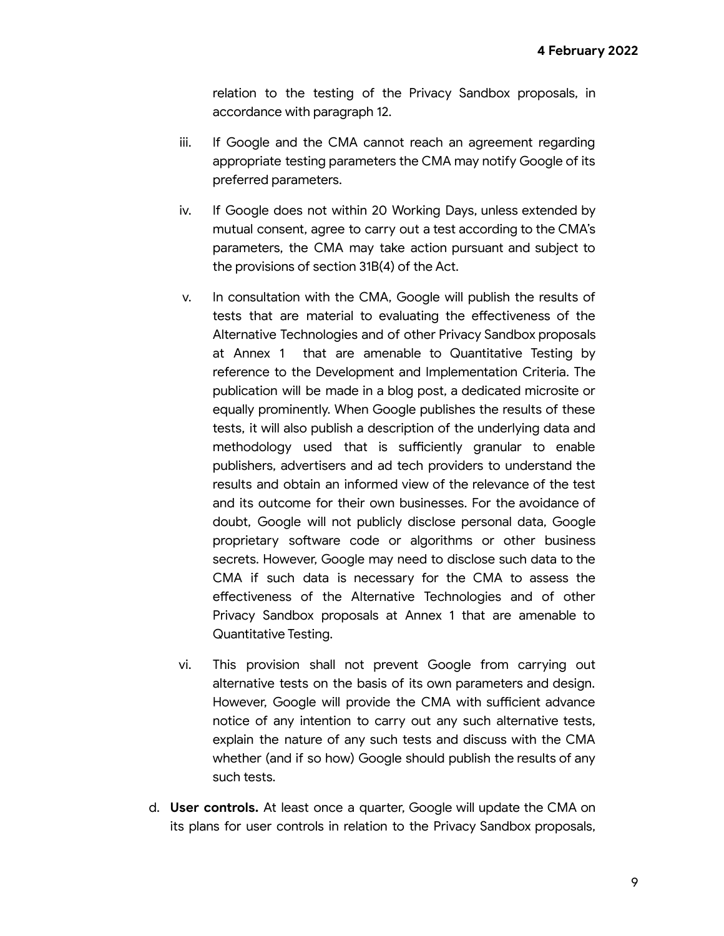relation to the testing of the Privacy Sandbox proposals, in accordance with paragraph 12.

- iii. If Google and the CMA cannot reach an agreement regarding appropriate testing parameters the CMA may notify Google of its preferred parameters.
- iv. If Google does not within 20 Working Days, unless extended by mutual consent, agree to carry out a test according to the CMA's parameters, the CMA may take action pursuant and subject to the provisions of section 31B(4) of the Act.
- v. In consultation with the CMA, Google will publish the results of tests that are material to evaluating the effectiveness of the Alternative Technologies and of other Privacy Sandbox proposals at Annex 1 that are amenable to Quantitative Testing by reference to the Development and Implementation Criteria. The publication will be made in a blog post, a dedicated microsite or equally prominently. When Google publishes the results of these tests, it will also publish a description of the underlying data and methodology used that is sufficiently granular to enable publishers, advertisers and ad tech providers to understand the results and obtain an informed view of the relevance of the test and its outcome for their own businesses. For the avoidance of doubt, Google will not publicly disclose personal data, Google proprietary software code or algorithms or other business secrets. However, Google may need to disclose such data to the CMA if such data is necessary for the CMA to assess the effectiveness of the Alternative Technologies and of other Privacy Sandbox proposals at Annex 1 that are amenable to Quantitative Testing.
- vi. This provision shall not prevent Google from carrying out alternative tests on the basis of its own parameters and design. However, Google will provide the CMA with sufficient advance notice of any intention to carry out any such alternative tests, explain the nature of any such tests and discuss with the CMA whether (and if so how) Google should publish the results of any such tests.
- d. **User controls.** At least once a quarter, Google will update the CMA on its plans for user controls in relation to the Privacy Sandbox proposals,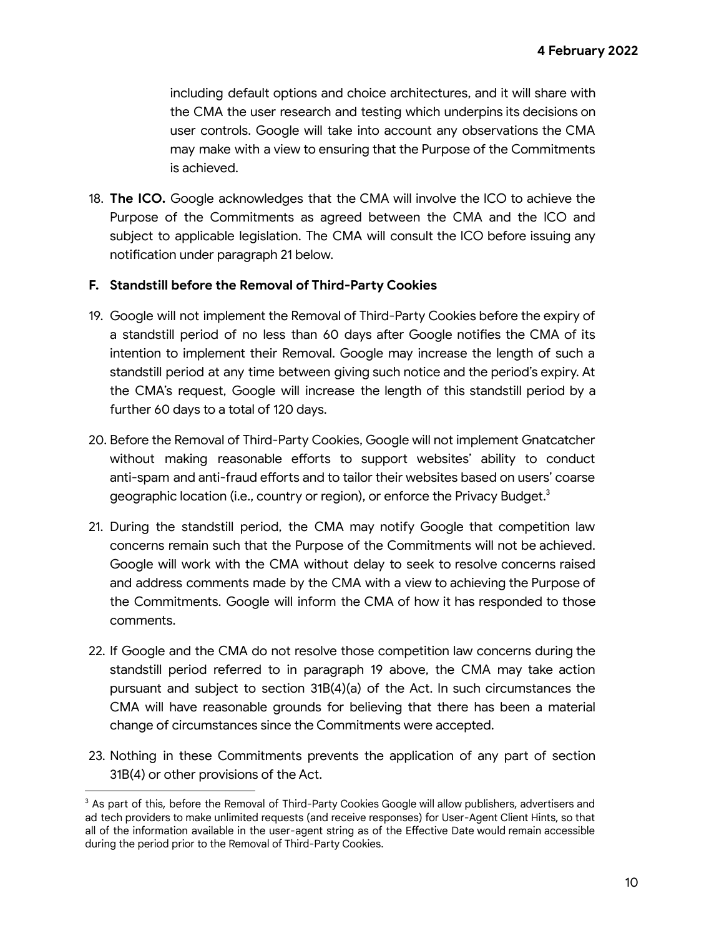including default options and choice architectures, and it will share with the CMA the user research and testing which underpins its decisions on user controls. Google will take into account any observations the CMA may make with a view to ensuring that the Purpose of the Commitments is achieved.

18. **The ICO.** Google acknowledges that the CMA will involve the ICO to achieve the Purpose of the Commitments as agreed between the CMA and the ICO and subject to applicable legislation. The CMA will consult the ICO before issuing any notification under paragraph 21 below.

#### **F. Standstill before the Removal of Third-Party Cookies**

- 19. Google will not implement the Removal of Third-Party Cookies before the expiry of a standstill period of no less than 60 days after Google notifies the CMA of its intention to implement their Removal. Google may increase the length of such a standstill period at any time between giving such notice and the period's expiry. At the CMA's request, Google will increase the length of this standstill period by a further 60 days to a total of 120 days.
- 20. Before the Removal of Third-Party Cookies, Google will not implement Gnatcatcher without making reasonable efforts to support websites' ability to conduct anti-spam and anti-fraud efforts and to tailor their websites based on users' coarse geographic location (i.e., country or region), or enforce the Privacy Budget.<sup>3</sup>
- 21. During the standstill period, the CMA may notify Google that competition law concerns remain such that the Purpose of the Commitments will not be achieved. Google will work with the CMA without delay to seek to resolve concerns raised and address comments made by the CMA with a view to achieving the Purpose of the Commitments. Google will inform the CMA of how it has responded to those comments.
- 22. If Google and the CMA do not resolve those competition law concerns during the standstill period referred to in paragraph 19 above, the CMA may take action pursuant and subject to section 31B(4)(a) of the Act. In such circumstances the CMA will have reasonable grounds for believing that there has been a material change of circumstances since the Commitments were accepted.
- 23. Nothing in these Commitments prevents the application of any part of section 31B(4) or other provisions of the Act.

<sup>&</sup>lt;sup>3</sup> As part of this, before the Removal of Third-Party Cookies Google will allow publishers, advertisers and ad tech providers to make unlimited requests (and receive responses) for User-Agent Client Hints, so that all of the information available in the user-agent string as of the Effective Date would remain accessible during the period prior to the Removal of Third-Party Cookies.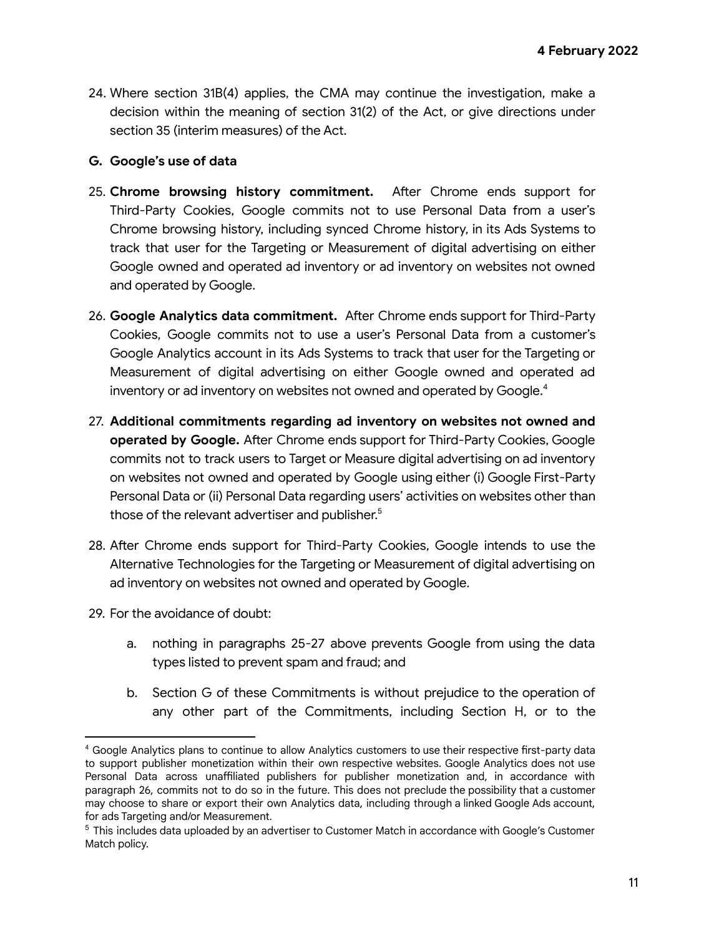24. Where section 31B(4) applies, the CMA may continue the investigation, make a decision within the meaning of section 31(2) of the Act, or give directions under section 35 (interim measures) of the Act.

#### **G. Google's use of data**

- 25. **Chrome browsing history commitment.** After Chrome ends support for Third-Party Cookies, Google commits not to use Personal Data from a user's Chrome browsing history, including synced Chrome history, in its Ads Systems to track that user for the Targeting or Measurement of digital advertising on either Google owned and operated ad inventory or ad inventory on websites not owned and operated by Google.
- 26. **Google Analytics data commitment.** After Chrome ends support for Third-Party Cookies, Google commits not to use a user's Personal Data from a customer's Google Analytics account in its Ads Systems to track that user for the Targeting or Measurement of digital advertising on either Google owned and operated ad inventory or ad inventory on websites not owned and operated by Google.<sup>4</sup>
- 27. **Additional commitments regarding ad inventory on websites not owned and operated by Google.** After Chrome ends support for Third-Party Cookies, Google commits not to track users to Target or Measure digital advertising on ad inventory on websites not owned and operated by Google using either (i) Google First-Party Personal Data or (ii) Personal Data regarding users' activities on websites other than those of the relevant advertiser and publisher.<sup>5</sup>
- 28. After Chrome ends support for Third-Party Cookies, Google intends to use the Alternative Technologies for the Targeting or Measurement of digital advertising on ad inventory on websites not owned and operated by Google.
- 29. For the avoidance of doubt:
	- a. nothing in paragraphs 25-27 above prevents Google from using the data types listed to prevent spam and fraud; and
	- b. Section G of these Commitments is without prejudice to the operation of any other part of the Commitments, including Section H, or to the

<sup>4</sup> Google Analytics plans to continue to allow Analytics customers to use their respective first-party data to support publisher monetization within their own respective websites. Google Analytics does not use Personal Data across unaffiliated publishers for publisher monetization and, in accordance with paragraph 26, commits not to do so in the future. This does not preclude the possibility that a customer may choose to share or export their own Analytics data, including through a linked Google Ads account, for ads Targeting and/or Measurement.

<sup>5</sup> This includes data uploaded by an advertiser to Customer Match in accordance with Google's Customer Match policy.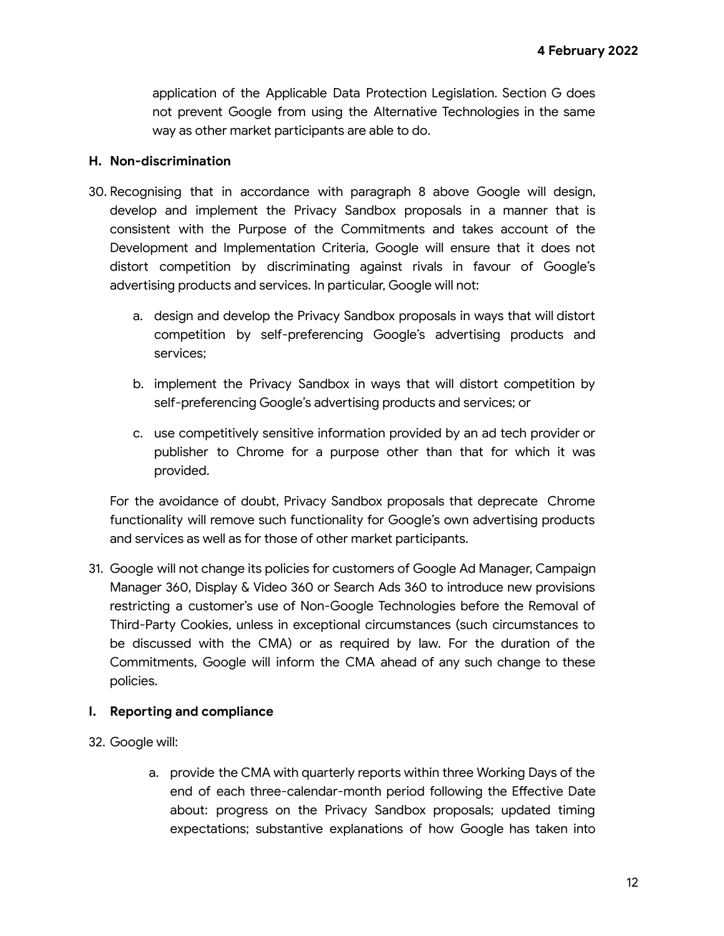application of the Applicable Data Protection Legislation. Section G does not prevent Google from using the Alternative Technologies in the same way as other market participants are able to do.

### **H. Non-discrimination**

- 30. Recognising that in accordance with paragraph 8 above Google will design, develop and implement the Privacy Sandbox proposals in a manner that is consistent with the Purpose of the Commitments and takes account of the Development and Implementation Criteria, Google will ensure that it does not distort competition by discriminating against rivals in favour of Google's advertising products and services. In particular, Google will not:
	- a. design and develop the Privacy Sandbox proposals in ways that will distort competition by self-preferencing Google's advertising products and services;
	- b. implement the Privacy Sandbox in ways that will distort competition by self-preferencing Google's advertising products and services; or
	- c. use competitively sensitive information provided by an ad tech provider or publisher to Chrome for a purpose other than that for which it was provided.

For the avoidance of doubt, Privacy Sandbox proposals that deprecate Chrome functionality will remove such functionality for Google's own advertising products and services as well as for those of other market participants.

31. Google will not change its policies for customers of Google Ad Manager, Campaign Manager 360, Display & Video 360 or Search Ads 360 to introduce new provisions restricting a customer's use of Non-Google Technologies before the Removal of Third-Party Cookies, unless in exceptional circumstances (such circumstances to be discussed with the CMA) or as required by law. For the duration of the Commitments, Google will inform the CMA ahead of any such change to these policies.

# **I. Reporting and compliance**

- 32. Google will:
	- a. provide the CMA with quarterly reports within three Working Days of the end of each three-calendar-month period following the Effective Date about: progress on the Privacy Sandbox proposals; updated timing expectations; substantive explanations of how Google has taken into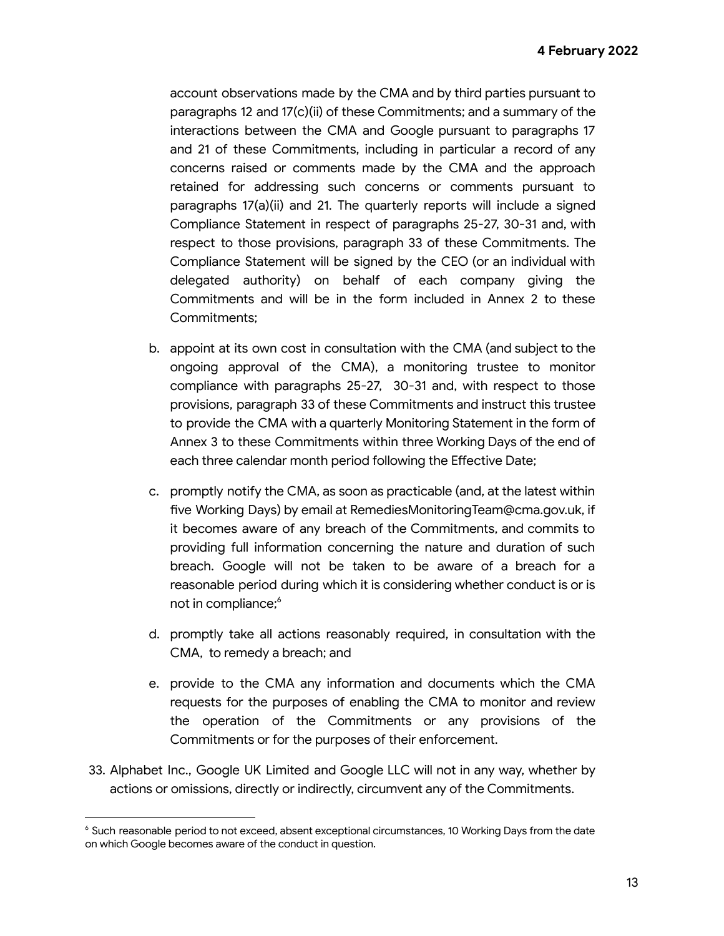account observations made by the CMA and by third parties pursuant to paragraphs 12 and 17(c)(ii) of these Commitments; and a summary of the interactions between the CMA and Google pursuant to paragraphs 17 and 21 of these Commitments, including in particular a record of any concerns raised or comments made by the CMA and the approach retained for addressing such concerns or comments pursuant to paragraphs 17(a)(ii) and 21. The quarterly reports will include a signed Compliance Statement in respect of paragraphs 25-27, 30-31 and, with respect to those provisions, paragraph 33 of these Commitments. The Compliance Statement will be signed by the CEO (or an individual with delegated authority) on behalf of each company giving the Commitments and will be in the form included in Annex 2 to these Commitments;

- b. appoint at its own cost in consultation with the CMA (and subject to the ongoing approval of the CMA), a monitoring trustee to monitor compliance with paragraphs 25-27, 30-31 and, with respect to those provisions, paragraph 33 of these Commitments and instruct this trustee to provide the CMA with a quarterly Monitoring Statement in the form of Annex 3 to these Commitments within three Working Days of the end of each three calendar month period following the Effective Date;
- c. promptly notify the CMA, as soon as practicable (and, at the latest within five Working Days) by email at RemediesMonitoringTeam@cma.gov.uk, if it becomes aware of any breach of the Commitments, and commits to providing full information concerning the nature and duration of such breach. Google will not be taken to be aware of a breach for a reasonable period during which it is considering whether conduct is or is not in compliance;<sup>6</sup>
- d. promptly take all actions reasonably required, in consultation with the CMA, to remedy a breach; and
- e. provide to the CMA any information and documents which the CMA requests for the purposes of enabling the CMA to monitor and review the operation of the Commitments or any provisions of the Commitments or for the purposes of their enforcement.
- 33. Alphabet Inc., Google UK Limited and Google LLC will not in any way, whether by actions or omissions, directly or indirectly, circumvent any of the Commitments.

<sup>&</sup>lt;sup>6</sup> Such reasonable period to not exceed, absent exceptional circumstances, 10 Working Days from the date on which Google becomes aware of the conduct in question.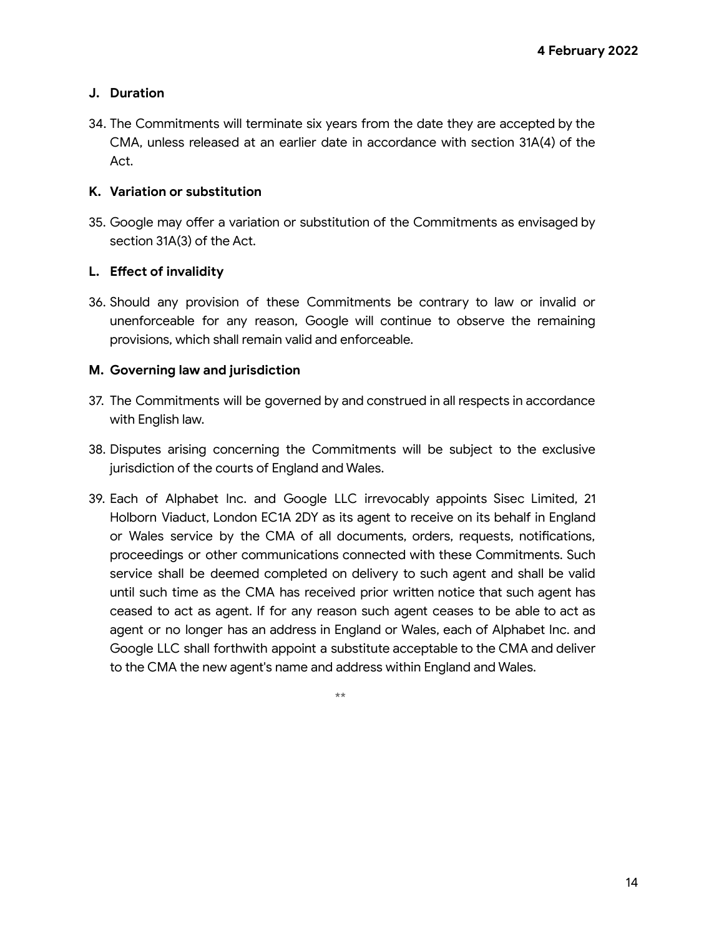## **J. Duration**

34. The Commitments will terminate six years from the date they are accepted by the CMA, unless released at an earlier date in accordance with section 31A(4) of the Act.

### **K. Variation or substitution**

35. Google may offer a variation or substitution of the Commitments as envisaged by section 31A(3) of the Act.

### **L. Effect of invalidity**

36. Should any provision of these Commitments be contrary to law or invalid or unenforceable for any reason, Google will continue to observe the remaining provisions, which shall remain valid and enforceable.

### **M. Governing law and jurisdiction**

- 37. The Commitments will be governed by and construed in all respects in accordance with English law.
- 38. Disputes arising concerning the Commitments will be subject to the exclusive jurisdiction of the courts of England and Wales.
- 39. Each of Alphabet Inc. and Google LLC irrevocably appoints Sisec Limited, 21 Holborn Viaduct, London EC1A 2DY as its agent to receive on its behalf in England or Wales service by the CMA of all documents, orders, requests, notifications, proceedings or other communications connected with these Commitments. Such service shall be deemed completed on delivery to such agent and shall be valid until such time as the CMA has received prior written notice that such agent has ceased to act as agent. If for any reason such agent ceases to be able to act as agent or no longer has an address in England or Wales, each of Alphabet Inc. and Google LLC shall forthwith appoint a substitute acceptable to the CMA and deliver to the CMA the new agent's name and address within England and Wales.

\*\*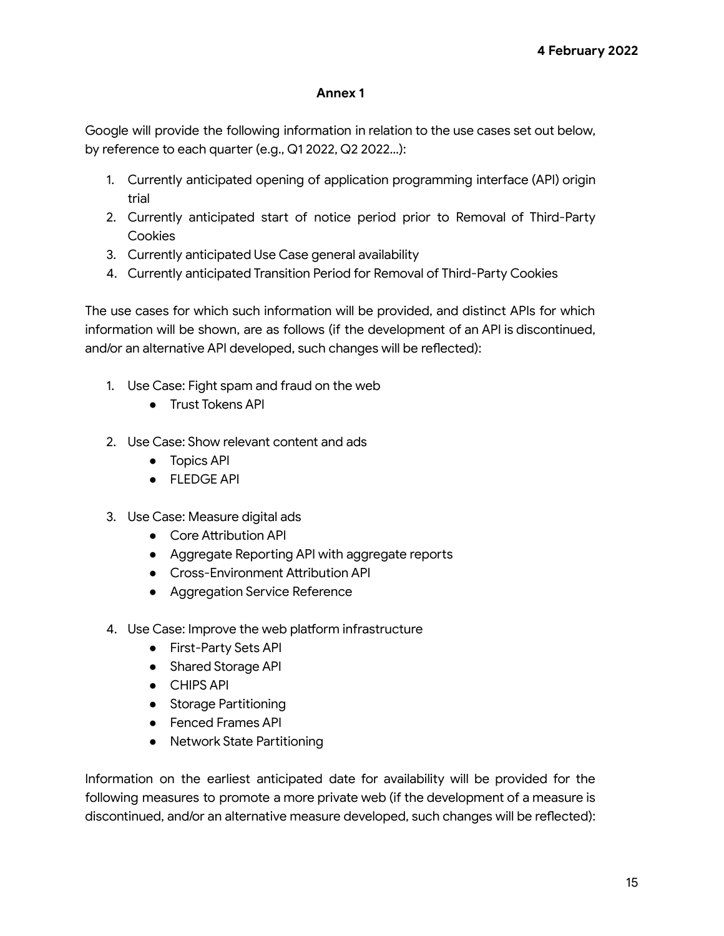### **Annex 1**

Google will provide the following information in relation to the use cases set out below, by reference to each quarter (e.g., Q1 2022, Q2 2022…):

- 1. Currently anticipated opening of application programming interface (API) origin trial
- 2. Currently anticipated start of notice period prior to Removal of Third-Party **Cookies**
- 3. Currently anticipated Use Case general availability
- 4. Currently anticipated Transition Period for Removal of Third-Party Cookies

The use cases for which such information will be provided, and distinct APIs for which information will be shown, are as follows (if the development of an API is discontinued, and/or an alternative API developed, such changes will be reflected):

- 1. Use Case: Fight spam and fraud on the web
	- Trust Tokens API
- 2. Use Case: Show relevant content and ads
	- Topics API
	- FLEDGE API
- 3. Use Case: Measure digital ads
	- Core Attribution API
	- Aggregate Reporting API with aggregate reports
	- Cross-Environment Attribution API
	- Aggregation Service Reference
- 4. Use Case: Improve the web platform infrastructure
	- First-Party Sets API
	- Shared Storage API
	- CHIPS API
	- Storage Partitioning
	- Fenced Frames API
	- Network State Partitioning

Information on the earliest anticipated date for availability will be provided for the following measures to promote a more private web (if the development of a measure is discontinued, and/or an alternative measure developed, such changes will be reflected):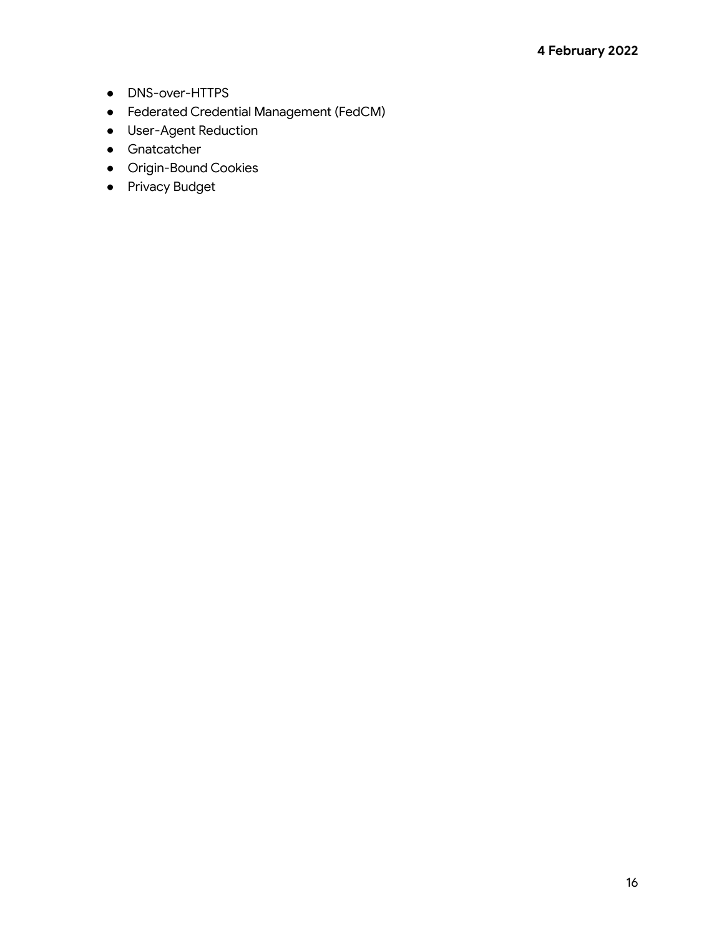- DNS-over-HTTPS
- Federated Credential Management (FedCM)
- User-Agent Reduction
- Gnatcatcher
- Origin-Bound Cookies
- Privacy Budget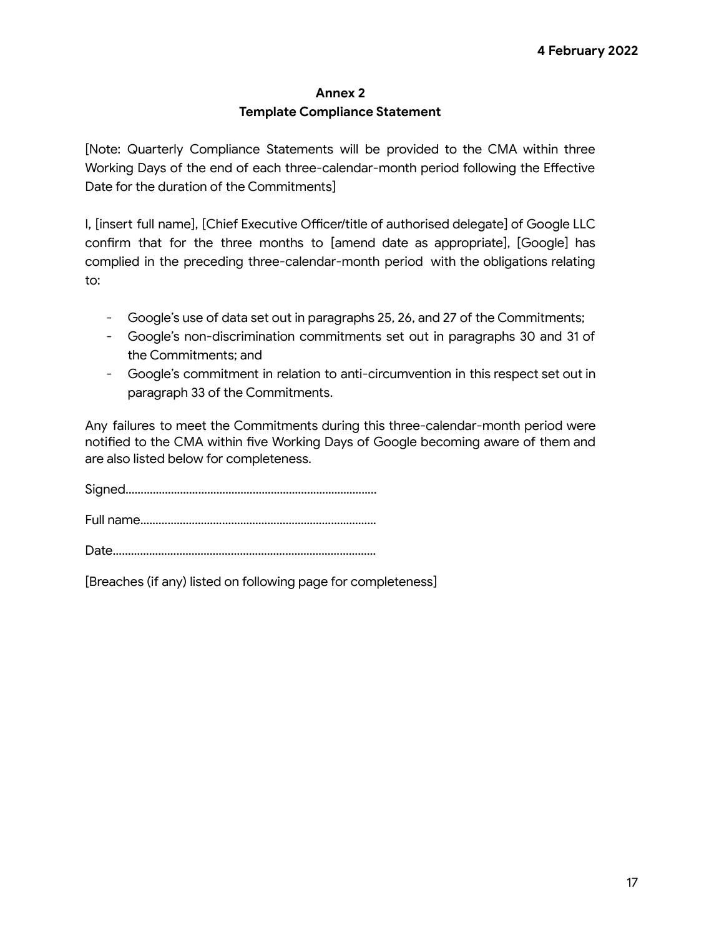#### **Annex 2**

### **Template Compliance Statement**

[Note: Quarterly Compliance Statements will be provided to the CMA within three Working Days of the end of each three-calendar-month period following the Effective Date for the duration of the Commitments]

I, [insert full name], [Chief Executive Officer/title of authorised delegate] of Google LLC confirm that for the three months to [amend date as appropriate], [Google] has complied in the preceding three-calendar-month period with the obligations relating to:

- Google's use of data set out in paragraphs 25, 26, and 27 of the Commitments;
- Google's non-discrimination commitments set out in paragraphs 30 and 31 of the Commitments; and
- Google's commitment in relation to anti-circumvention in this respect set out in paragraph 33 of the Commitments.

Any failures to meet the Commitments during this three-calendar-month period were notified to the CMA within five Working Days of Google becoming aware of them and are also listed below for completeness.

Signed……………………………………………………………………….. Full name……………………………………………………………………

Date……………………………………………………………………………

[Breaches (if any) listed on following page for completeness]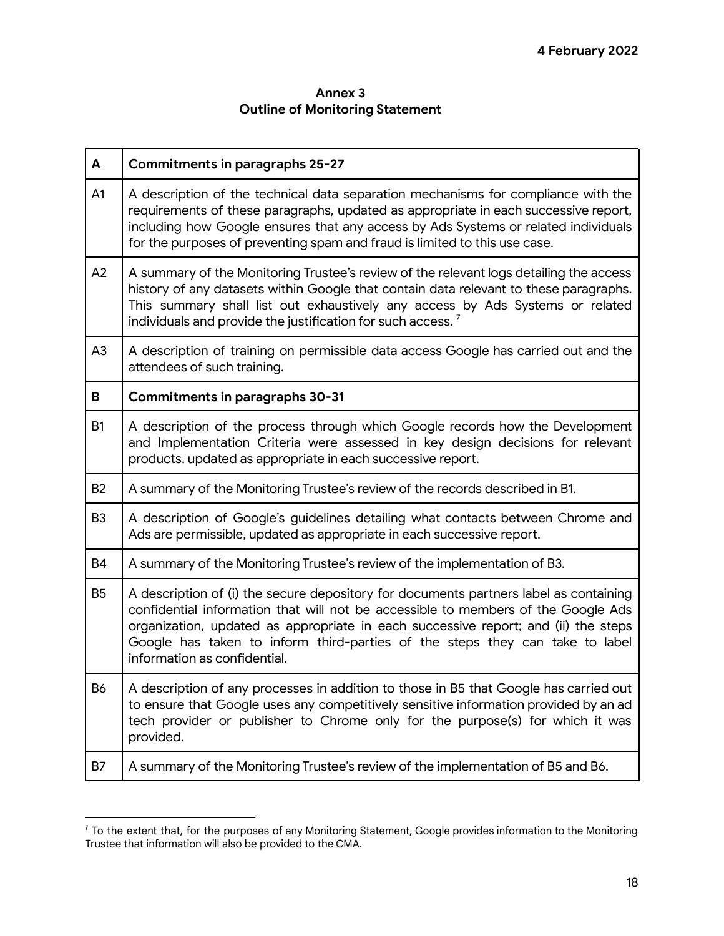# **Annex 3 Outline of Monitoring Statement**

| A              | <b>Commitments in paragraphs 25-27</b>                                                                                                                                                                                                                                                                                                                                           |
|----------------|----------------------------------------------------------------------------------------------------------------------------------------------------------------------------------------------------------------------------------------------------------------------------------------------------------------------------------------------------------------------------------|
| A1             | A description of the technical data separation mechanisms for compliance with the<br>requirements of these paragraphs, updated as appropriate in each successive report,<br>including how Google ensures that any access by Ads Systems or related individuals<br>for the purposes of preventing spam and fraud is limited to this use case.                                     |
| A2             | A summary of the Monitoring Trustee's review of the relevant logs detailing the access<br>history of any datasets within Google that contain data relevant to these paragraphs.<br>This summary shall list out exhaustively any access by Ads Systems or related<br>individuals and provide the justification for such access. <sup>7</sup>                                      |
| A <sub>3</sub> | A description of training on permissible data access Google has carried out and the<br>attendees of such training.                                                                                                                                                                                                                                                               |
| B              | <b>Commitments in paragraphs 30-31</b>                                                                                                                                                                                                                                                                                                                                           |
| <b>B1</b>      | A description of the process through which Google records how the Development<br>and Implementation Criteria were assessed in key design decisions for relevant<br>products, updated as appropriate in each successive report.                                                                                                                                                   |
| <b>B2</b>      | A summary of the Monitoring Trustee's review of the records described in B1.                                                                                                                                                                                                                                                                                                     |
| B <sub>3</sub> | A description of Google's guidelines detailing what contacts between Chrome and<br>Ads are permissible, updated as appropriate in each successive report.                                                                                                                                                                                                                        |
| <b>B4</b>      | A summary of the Monitoring Trustee's review of the implementation of B3.                                                                                                                                                                                                                                                                                                        |
| <b>B5</b>      | A description of (i) the secure depository for documents partners label as containing<br>confidential information that will not be accessible to members of the Google Ads<br>organization, updated as appropriate in each successive report; and (ii) the steps<br>Google has taken to inform third-parties of the steps they can take to label<br>information as confidential. |
| <b>B6</b>      | A description of any processes in addition to those in B5 that Google has carried out<br>to ensure that Google uses any competitively sensitive information provided by an ad<br>tech provider or publisher to Chrome only for the purpose(s) for which it was<br>provided.                                                                                                      |
| <b>B7</b>      | A summary of the Monitoring Trustee's review of the implementation of B5 and B6.                                                                                                                                                                                                                                                                                                 |

 $<sup>7</sup>$  To the extent that, for the purposes of any Monitoring Statement, Google provides information to the Monitoring</sup> Trustee that information will also be provided to the CMA.